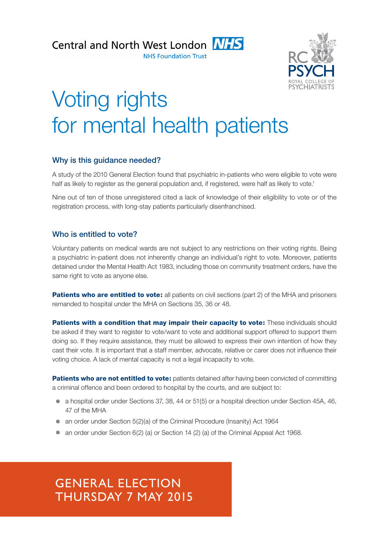Central and North West London **NHS** 



# Voting rights for mental health patients

# Why is this guidance needed?

A study of the 2010 General Election found that psychiatric in-patients who were eligible to vote were half as likely to register as the general population and, if registered, were half as likely to vote.<sup>1</sup>

Nine out of ten of those unregistered cited a lack of knowledge of their eligibility to vote or of the registration process, with long-stay patients particularly disenfranchised.

## Who is entitled to vote?

Voluntary patients on medical wards are not subject to any restrictions on their voting rights. Being a psychiatric in-patient does not inherently change an individual's right to vote. Moreover, patients detained under the Mental Health Act 1983, including those on community treatment orders, have the same right to vote as anyone else.

**Patients who are entitled to vote:** all patients on civil sections (part 2) of the MHA and prisoners remanded to hospital under the MHA on Sections 35, 36 or 48.

Patients with a condition that may impair their capacity to vote: These individuals should be asked if they want to register to vote/want to vote and additional support offered to support them doing so. If they require assistance, they must be allowed to express their own intention of how they cast their vote. It is important that a staff member, advocate, relative or carer does not influence their voting choice. A lack of mental capacity is not a legal incapacity to vote.

Patients who are not entitled to vote: patients detained after having been convicted of committing a criminal offence and been ordered to hospital by the courts, and are subject to:

- a hospital order under Sections 37, 38, 44 or 51(5) or a hospital direction under Section 45A, 46, 47 of the MHA
- an order under Section 5(2)(a) of the Criminal Procedure (Insanity) Act 1964
- $\bullet$  an order under Section 6(2) (a) or Section 14 (2) (a) of the Criminal Appeal Act 1968.

# GENERAL ELECTION THURSDAY 7 MAY 2015